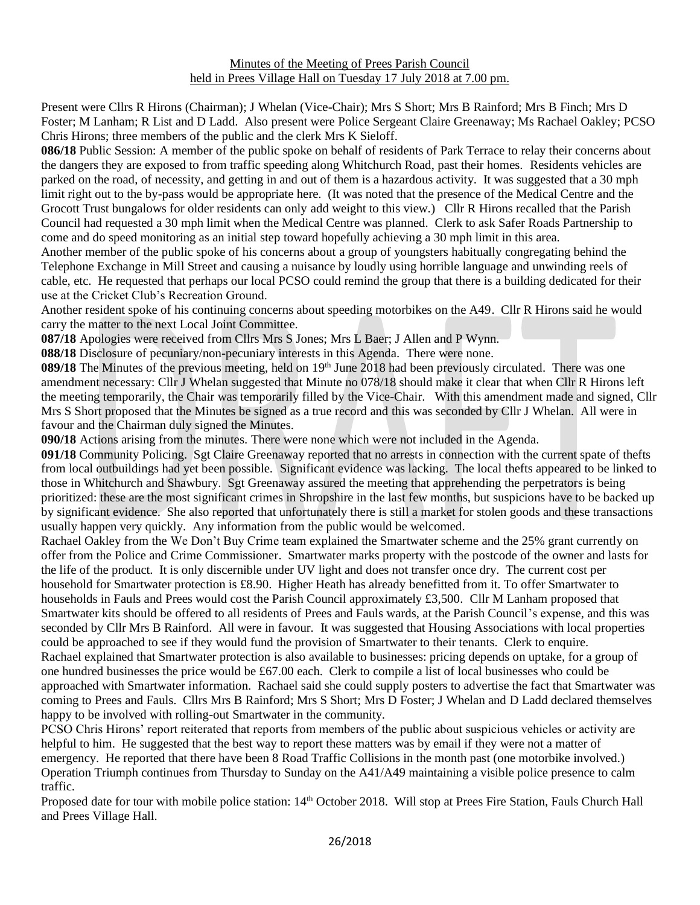Present were Cllrs R Hirons (Chairman); J Whelan (Vice-Chair); Mrs S Short; Mrs B Rainford; Mrs B Finch; Mrs D Foster; M Lanham; R List and D Ladd. Also present were Police Sergeant Claire Greenaway; Ms Rachael Oakley; PCSO Chris Hirons; three members of the public and the clerk Mrs K Sieloff.

**086/18** Public Session: A member of the public spoke on behalf of residents of Park Terrace to relay their concerns about the dangers they are exposed to from traffic speeding along Whitchurch Road, past their homes. Residents vehicles are parked on the road, of necessity, and getting in and out of them is a hazardous activity. It was suggested that a 30 mph limit right out to the by-pass would be appropriate here. (It was noted that the presence of the Medical Centre and the Grocott Trust bungalows for older residents can only add weight to this view.) Cllr R Hirons recalled that the Parish Council had requested a 30 mph limit when the Medical Centre was planned. Clerk to ask Safer Roads Partnership to come and do speed monitoring as an initial step toward hopefully achieving a 30 mph limit in this area.

Another member of the public spoke of his concerns about a group of youngsters habitually congregating behind the Telephone Exchange in Mill Street and causing a nuisance by loudly using horrible language and unwinding reels of cable, etc. He requested that perhaps our local PCSO could remind the group that there is a building dedicated for their use at the Cricket Club's Recreation Ground.

Another resident spoke of his continuing concerns about speeding motorbikes on the A49. Cllr R Hirons said he would carry the matter to the next Local Joint Committee.

**087/18** Apologies were received from Cllrs Mrs S Jones; Mrs L Baer; J Allen and P Wynn.

**088/18** Disclosure of pecuniary/non-pecuniary interests in this Agenda. There were none.

089/18 The Minutes of the previous meeting, held on 19<sup>th</sup> June 2018 had been previously circulated. There was one amendment necessary: Cllr J Whelan suggested that Minute no 078/18 should make it clear that when Cllr R Hirons left the meeting temporarily, the Chair was temporarily filled by the Vice-Chair. With this amendment made and signed, Cllr Mrs S Short proposed that the Minutes be signed as a true record and this was seconded by Cllr J Whelan. All were in favour and the Chairman duly signed the Minutes.

**090/18** Actions arising from the minutes. There were none which were not included in the Agenda.

**091/18** Community Policing. Sgt Claire Greenaway reported that no arrests in connection with the current spate of thefts from local outbuildings had yet been possible. Significant evidence was lacking. The local thefts appeared to be linked to those in Whitchurch and Shawbury. Sgt Greenaway assured the meeting that apprehending the perpetrators is being prioritized: these are the most significant crimes in Shropshire in the last few months, but suspicions have to be backed up by significant evidence. She also reported that unfortunately there is still a market for stolen goods and these transactions usually happen very quickly. Any information from the public would be welcomed.

Rachael Oakley from the We Don't Buy Crime team explained the Smartwater scheme and the 25% grant currently on offer from the Police and Crime Commissioner. Smartwater marks property with the postcode of the owner and lasts for the life of the product. It is only discernible under UV light and does not transfer once dry. The current cost per household for Smartwater protection is £8.90. Higher Heath has already benefitted from it. To offer Smartwater to households in Fauls and Prees would cost the Parish Council approximately £3,500. Cllr M Lanham proposed that Smartwater kits should be offered to all residents of Prees and Fauls wards, at the Parish Council's expense, and this was seconded by Cllr Mrs B Rainford. All were in favour. It was suggested that Housing Associations with local properties could be approached to see if they would fund the provision of Smartwater to their tenants. Clerk to enquire. Rachael explained that Smartwater protection is also available to businesses: pricing depends on uptake, for a group of one hundred businesses the price would be £67.00 each. Clerk to compile a list of local businesses who could be approached with Smartwater information. Rachael said she could supply posters to advertise the fact that Smartwater was coming to Prees and Fauls. Cllrs Mrs B Rainford; Mrs S Short; Mrs D Foster; J Whelan and D Ladd declared themselves happy to be involved with rolling-out Smartwater in the community.

PCSO Chris Hirons' report reiterated that reports from members of the public about suspicious vehicles or activity are helpful to him. He suggested that the best way to report these matters was by email if they were not a matter of emergency. He reported that there have been 8 Road Traffic Collisions in the month past (one motorbike involved.) Operation Triumph continues from Thursday to Sunday on the A41/A49 maintaining a visible police presence to calm traffic.

Proposed date for tour with mobile police station: 14<sup>th</sup> October 2018. Will stop at Prees Fire Station, Fauls Church Hall and Prees Village Hall.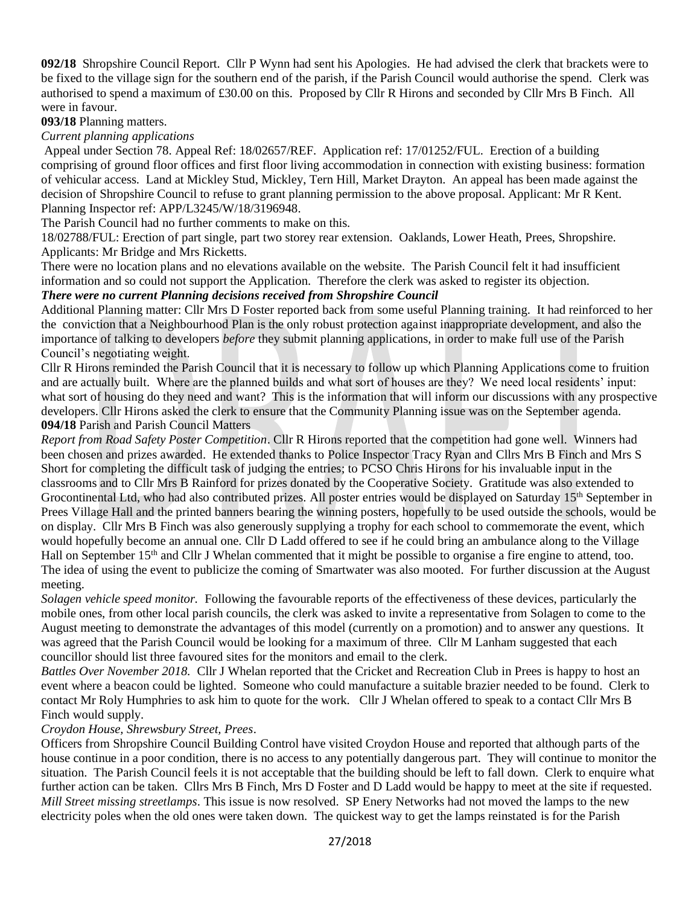**092/18** Shropshire Council Report. Cllr P Wynn had sent his Apologies. He had advised the clerk that brackets were to be fixed to the village sign for the southern end of the parish, if the Parish Council would authorise the spend. Clerk was authorised to spend a maximum of £30.00 on this. Proposed by Cllr R Hirons and seconded by Cllr Mrs B Finch. All were in favour.

**093/18** Planning matters.

*Current planning applications*

Appeal under Section 78. Appeal Ref: 18/02657/REF. Application ref: 17/01252/FUL. Erection of a building comprising of ground floor offices and first floor living accommodation in connection with existing business: formation of vehicular access. Land at Mickley Stud, Mickley, Tern Hill, Market Drayton. An appeal has been made against the decision of Shropshire Council to refuse to grant planning permission to the above proposal. Applicant: Mr R Kent. Planning Inspector ref: APP/L3245/W/18/3196948.

The Parish Council had no further comments to make on this.

18/02788/FUL: Erection of part single, part two storey rear extension. Oaklands, Lower Heath, Prees, Shropshire. Applicants: Mr Bridge and Mrs Ricketts.

There were no location plans and no elevations available on the website. The Parish Council felt it had insufficient information and so could not support the Application. Therefore the clerk was asked to register its objection. *There were no current Planning decisions received from Shropshire Council*

Additional Planning matter: Cllr Mrs D Foster reported back from some useful Planning training. It had reinforced to her the conviction that a Neighbourhood Plan is the only robust protection against inappropriate development, and also the importance of talking to developers *before* they submit planning applications, in order to make full use of the Parish Council's negotiating weight.

Cllr R Hirons reminded the Parish Council that it is necessary to follow up which Planning Applications come to fruition and are actually built. Where are the planned builds and what sort of houses are they? We need local residents' input: what sort of housing do they need and want? This is the information that will inform our discussions with any prospective developers. Cllr Hirons asked the clerk to ensure that the Community Planning issue was on the September agenda. **094/18** Parish and Parish Council Matters

*Report from Road Safety Poster Competition*. Cllr R Hirons reported that the competition had gone well. Winners had been chosen and prizes awarded. He extended thanks to Police Inspector Tracy Ryan and Cllrs Mrs B Finch and Mrs S Short for completing the difficult task of judging the entries; to PCSO Chris Hirons for his invaluable input in the classrooms and to Cllr Mrs B Rainford for prizes donated by the Cooperative Society. Gratitude was also extended to Grocontinental Ltd, who had also contributed prizes. All poster entries would be displayed on Saturday 15<sup>th</sup> September in Prees Village Hall and the printed banners bearing the winning posters, hopefully to be used outside the schools, would be on display. Cllr Mrs B Finch was also generously supplying a trophy for each school to commemorate the event, which would hopefully become an annual one. Cllr D Ladd offered to see if he could bring an ambulance along to the Village Hall on September 15<sup>th</sup> and Cllr J Whelan commented that it might be possible to organise a fire engine to attend, too. The idea of using the event to publicize the coming of Smartwater was also mooted. For further discussion at the August meeting.

*Solagen vehicle speed monitor.* Following the favourable reports of the effectiveness of these devices, particularly the mobile ones, from other local parish councils, the clerk was asked to invite a representative from Solagen to come to the August meeting to demonstrate the advantages of this model (currently on a promotion) and to answer any questions. It was agreed that the Parish Council would be looking for a maximum of three. Cllr M Lanham suggested that each councillor should list three favoured sites for the monitors and email to the clerk.

*Battles Over November 2018.* Cllr J Whelan reported that the Cricket and Recreation Club in Prees is happy to host an event where a beacon could be lighted. Someone who could manufacture a suitable brazier needed to be found. Clerk to contact Mr Roly Humphries to ask him to quote for the work. Cllr J Whelan offered to speak to a contact Cllr Mrs B Finch would supply.

## *Croydon House, Shrewsbury Street, Prees*.

Officers from Shropshire Council Building Control have visited Croydon House and reported that although parts of the house continue in a poor condition, there is no access to any potentially dangerous part. They will continue to monitor the situation. The Parish Council feels it is not acceptable that the building should be left to fall down. Clerk to enquire what further action can be taken. Cllrs Mrs B Finch, Mrs D Foster and D Ladd would be happy to meet at the site if requested. *Mill Street missing streetlamps*. This issue is now resolved. SP Enery Networks had not moved the lamps to the new electricity poles when the old ones were taken down. The quickest way to get the lamps reinstated is for the Parish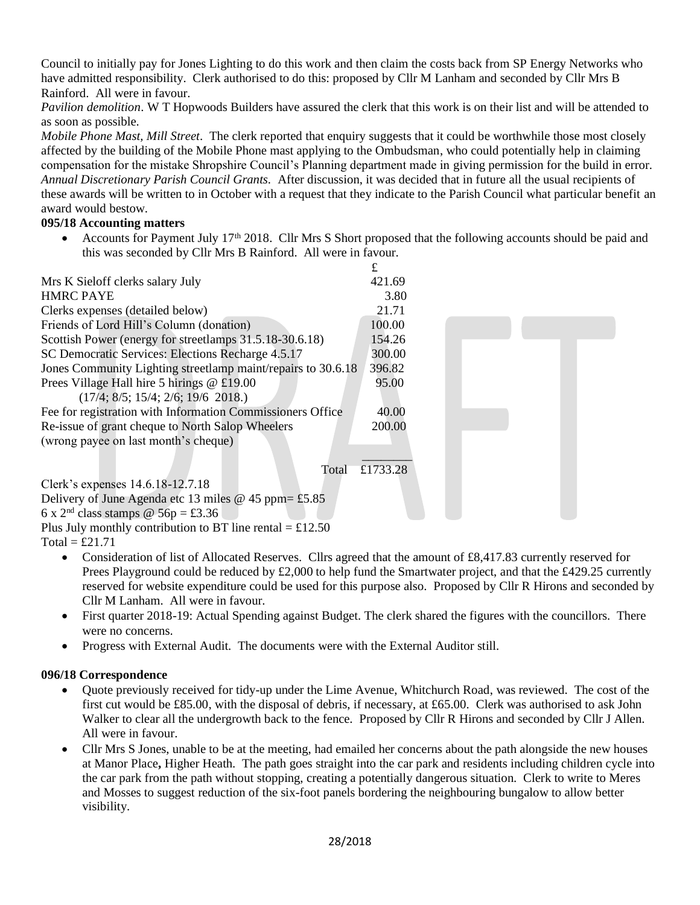Council to initially pay for Jones Lighting to do this work and then claim the costs back from SP Energy Networks who have admitted responsibility. Clerk authorised to do this: proposed by Cllr M Lanham and seconded by Cllr Mrs B Rainford. All were in favour.

*Pavilion demolition*. W T Hopwoods Builders have assured the clerk that this work is on their list and will be attended to as soon as possible.

*Mobile Phone Mast, Mill Street*. The clerk reported that enquiry suggests that it could be worthwhile those most closely affected by the building of the Mobile Phone mast applying to the Ombudsman, who could potentially help in claiming compensation for the mistake Shropshire Council's Planning department made in giving permission for the build in error. *Annual Discretionary Parish Council Grants.* After discussion, it was decided that in future all the usual recipients of these awards will be written to in October with a request that they indicate to the Parish Council what particular benefit an award would bestow.

## **095/18 Accounting matters**

• Accounts for Payment July 17<sup>th</sup> 2018. Cllr Mrs S Short proposed that the following accounts should be paid and this was seconded by Cllr Mrs B Rainford. All were in favour.



Plus July monthly contribution to BT line rental  $=$  £12.50

Total =  $£21.71$ 

- Consideration of list of Allocated Reserves. Cllrs agreed that the amount of £8,417.83 currently reserved for Prees Playground could be reduced by £2,000 to help fund the Smartwater project, and that the £429.25 currently reserved for website expenditure could be used for this purpose also. Proposed by Cllr R Hirons and seconded by Cllr M Lanham. All were in favour.
- First quarter 2018-19: Actual Spending against Budget. The clerk shared the figures with the councillors. There were no concerns.
- Progress with External Audit. The documents were with the External Auditor still.

## **096/18 Correspondence**

- Quote previously received for tidy-up under the Lime Avenue, Whitchurch Road, was reviewed. The cost of the first cut would be £85.00, with the disposal of debris, if necessary, at £65.00. Clerk was authorised to ask John Walker to clear all the undergrowth back to the fence. Proposed by Cllr R Hirons and seconded by Cllr J Allen. All were in favour.
- Cllr Mrs S Jones, unable to be at the meeting, had emailed her concerns about the path alongside the new houses at Manor Place**,** Higher Heath. The path goes straight into the car park and residents including children cycle into the car park from the path without stopping, creating a potentially dangerous situation. Clerk to write to Meres and Mosses to suggest reduction of the six-foot panels bordering the neighbouring bungalow to allow better visibility.